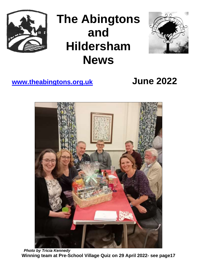

# **The Abingtons and Hildersham News**



## **[www.theabingtons.org.uk](http://www.theabingtons.org.uk/) June 2022**



 *Photo by Tricia Kennedy* **Winning team at Pre-School Village Quiz on 29 April 2022- see page17**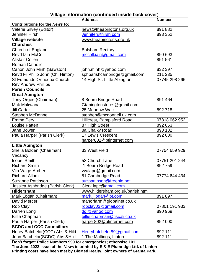## **Village information (continued inside back cover)**

|                                       | <b>Address</b>                   | <b>Number</b> |
|---------------------------------------|----------------------------------|---------------|
| <b>Contributions for the News to:</b> |                                  |               |
| Valerie Silvey (Editor)               | news@theabingtons.org.uk         | 891 882       |
| Jennifer Hirsh                        | Jennifer@hirsh.com               | 893 352       |
| <b>Village website</b>                | www.theabingtons.org.uk          |               |
| <b>Churches</b>                       |                                  |               |
| Church of England                     | <b>Balsham Rectory</b>           |               |
| <b>Revd lain McColl</b>               | mccoll.iain@gmail.com            | 890 693       |
| <b>Alistair Collen</b>                |                                  | 891 561       |
| <b>Roman Catholic</b>                 |                                  |               |
| Canon John Minh (Sawston)             | john.minh@yahoo.com              | 832 397       |
| Revd Fr Philip John (Ch. Hinton)      | sphparishcambridge@gmail.com     | 211 235       |
| <b>St Edmunds Orthodox Church</b>     | 14 High St. Little Abington      | 07745 298 266 |
| <b>Rev Andrew Phillips</b>            |                                  |               |
| <b>Parish Councils</b>                |                                  |               |
| <b>Great Abington</b>                 |                                  |               |
| Tony Orgee (Chairman)                 | 8 Bourn Bridge Road              | 891 464       |
| Mak Makwana                           | Gtabingtonstores@gmail.com       |               |
| <b>Jill Carter</b>                    | 25 Meadow Walk                   | 892718        |
| <b>Stephen McDonnell</b>              | stephen@mcdonnell.uk.com         |               |
| <b>Emma Pery</b>                      | Hillcrest, Pampisford Road       | 07818 062 952 |
| <b>Louise Patten</b>                  | 87 High Street                   | 892 053       |
| Jane Bowen                            | 8a Chalky Road                   | 893 182       |
| Paula Harper (Parish Clerk)           | <b>17 Lewis Crescent</b>         | 892 000       |
|                                       | harper802@btinternet.com         |               |
| <b>Little Abington</b>                |                                  |               |
| Sheila Bolden (Chairman)              | 33 West Field                    | 07754 659 929 |
| Vacancy                               |                                  |               |
| <b>Isobel Smith</b>                   | 53 Church Lane                   | 07751 201 244 |
| <b>Richard Smith</b>                  | 1 Bourn Bridge Road              | 892759        |
| Viia Valge-Archer                     | vvalapc@gmail.com                |               |
| <b>Richard Allum</b>                  | 51 Cambridge Road                | 07774 644 434 |
| <b>Suzanne Pattinson</b>              | suzpattinson@freebie.net         |               |
| Jessica Ashbridge (Parish Clerk)      | Clerk.lapc@gmail.com             |               |
| <b>Hildersham</b>                     | www.hildersham.org.uk/parish.htm |               |
| Mark Logan (Chairman)                 | mark.j.logan@bt.com              | 891 897       |
| David Mercer                          | manorfarm@globalnet.co.uk        |               |
| Rob Clay                              | robclay03@gmail.com              | 07801 191 933 |
| Darren Long                           | dgl@yahoo.com                    | 890 969       |
| <b>Billie Chapman</b>                 | billie.chapman@tiscali.co.uk     |               |
| Paula Harper (Parish Clerk)           | harper802@btinternet.com         | 892 000       |
| <b>SCDC and CCC Councillors</b>       |                                  |               |
| Henry Batchelor(CCC) Abs & Hild.      | Henrybatchelor89@gmail.com       | 892 111       |
| John Batchelor(SCDC) Abs & Hild       | 1 The Maltings, Linton           | 892 111       |

**Don't forget: Police Numbers 999 for emergencies; otherwise 101**

**The June 2022 issue of the** *News* **is printed by E & E Plumridge Ltd. of Linton Printing costs have been met by BioMed Realty, joint owners of Granta Park.**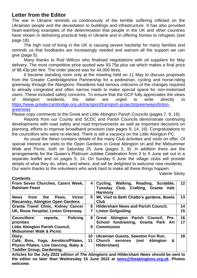## **Letter from the Editor**

The war in Ukraine reminds us continuously of the terrible suffering inflicted on the Ukrainian people and the devastation to buildings and infrastructure. It has also provided heart-warming examples of the determination that people in the UK and other countries have shown in delivering practical help in Ukraine and in offering homes to refugees (see page 18).

The high cost of living in the UK is causing severe hardship for many families and reminds us that foodbanks are increasingly needed and warrant all the support we can give (page 5).

Many thanks to Rod Willcox who finalised negotiations with oil suppliers for May delivery. The most competitive price quoted was 93.75p plus vat which makes a final price of 98.43p per litre. The order placed was for 44,000 litres.

It became standing room only at the meeting held on 11 May to discuss proposals from the Greater Cambridgeshire Partnership for a pedestrian, cycling and horse-riding greenway through the Abingtons. Residents had serious criticisms of the changes required to already congested and often narrow roads to make special space for non-motorised users. These included safety concerns. To ensure that the GCP fully appreciates the views of Abington residents, the latter are urged to write directly to [https://www.greatercambridge.org.uk/transport/transport-projects/greenways/linton](https://www.greatercambridge.org.uk/transport/transport-projects/greenways/linton-greenway)[greenway](https://www.greatercambridge.org.uk/transport/transport-projects/greenways/linton-greenway)

Please copy comments to the Great and Little Abington Parish Councils (pages 7, 9, 16).

Reports from our County and SCDC and Parish Councils demonstrate continuing developments with road safety and road improvements as well as important decisions on planning, efforts to improve broadband provision (see pages 9, 14, 16). Congratulations to the councillors who were re-elected. There is still a vacancy on the Little Abington PC.

As usual the *News* contains details of the many Club activities and visits on offer. Of special interest are visits to the Open Gardens in Great Abington on and the Midsummer Walk and Picnic, both on Saturday 25 June (pages 5, 9). In addition there are the arrangements for the Queen's Platinum Jubilee Celebration from 2 to 5 June set out in a separate leaflet and on pages 5, 14. On Sunday 5 June the village clubs will provide details of what they do, when, and where, and will be delighted to welcome new residents. Our warm thanks to the volunteers who work hard to make all these things happen.

Valerie Silvey

| <b>Contents</b>                                      |                 |                                                       |    |
|------------------------------------------------------|-----------------|-------------------------------------------------------|----|
| From Seven Churches, Carers Week,                    |                 | Walking, Reading, Scrabble,<br>Cycling,               | 12 |
| <b>Balsham Feast</b>                                 |                 | Tuesday Club, Crafting, Granta Vale<br><b>Harmony</b> |    |
| <b>News</b><br>the<br>from<br>Pews,<br><b>Victor</b> | 5               | WI, Visit to Beth Chatto's gardens, Bowls             | 13 |
| <b>Riecansky, Abington Open Gardens</b>              |                 | Club                                                  |    |
| <b>Granta Travel Clinic, Kidney Cancer</b>           | 6               | <b>Hildersham News and Parish Council,</b>            | 14 |
| UK, Rosie Hospital, Linton Greenway                  | $\overline{7}$  | <b>Linton Girlguiding</b>                             | 15 |
| <b>Councillors'</b><br><b>Policing</b><br>reports,   | 8               | Great Abington Parish Council, Pre-                   | 16 |
| priorities                                           |                 | School fundraising, Granta Park Art                   | 17 |
| Little Abington Parish Council,                      | 9               | <b>Commission</b>                                     |    |
| <b>Midsummer Walk &amp; Picnic</b>                   |                 |                                                       |    |
| Diary,                                               | 10 <sup>°</sup> | Ukrainian Guests, Sawston Fun Run,                    | 18 |
| Café, Bins, Yoga, Aerobics/Pilates,                  | 11              | Church services (not<br>&<br><b>Abington</b>          |    |
| Physio Pilates, Line Dancing, Baby &                 |                 | Hildersham)                                           |    |
| <b>Toddler Group, Gardening</b>                      |                 |                                                       |    |

**Articles for the July 2022 edition of** *The Abingtons and Hildersham News* **should be sent to the editor no later than Wednesday 15 June 2022 at [news@theabingtons.org.uk](mailto:news@theabingtons.org.uk)**. **Photos welcome.**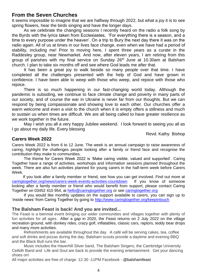## **From the Seven Churches**

It seems impossible to imagine that we are halfway through 2022, but what a joy it is to see spring flowers, hear the birds singing and have the longer days.

As we celebrate the changing seasons I recently heard on the radio a folk song by the Byrds with the lyrics taken from Ecclesiastes, 'For everything there is a season, and a time to every purpose under the heaven'. On a trip to Bury the next day there it was on the radio again. All of us at times in our lives face change, even when we have had a period of stability, including me! Prior to moving here, I spent three years as a curate in the Raddesley group, near Newmarket. And now, after eleven years, I am retiring from this group of parishes with my final service on Sunday 26th June at 10.30am at Balsham church. I plan to take six months off and see where God leads me after that.

It has been a great joy to walk beside so many people over that time. I have completed all the challenges presented with the help of God and have grown in confidence. I have been able to weep with those who weep, and rejoice with those who rejoice.

There is so much happening in our fast-changing world today. Although the pandemic is subsiding, we continue to face climate change and poverty in many parts of our society, and of course the war in Ukraine is never far from our thoughts. But we can respond by being compassionate and showing love to each other. Our churches offer a warm welcome and even a visit to the church when it is empty offers a stillness and much to sustain us when times are difficult. We are all being called to have greater resilience as we work together in the future.

May I wish you all a very happy Jubilee weekend. I look forward to seeing you all as I go about my daily life. Every blessing

Revd. Kathy Bishop

## **Carers Week 2022**

Carers Week 2022 is from 6 to 12 June. The week is an annual campaign to raise awareness of caring, highlight the challenges people looking after a family or friend face and recognise the contribution they make to communities.

The theme for Carers Week 2022 is 'Make caring visible, valued and supported'. Caring Together have a range of activities, workshops and information sessions planned throughout the week. There are also fun activities planned for young carers in the half-term week before Carers Week.

 If you look after a family member or friend, see how you can get involved. Find out more at [caringtogether.org/news/carers-week-events-activities-countdown](https://d.docs.live.net/769ae6b5f9281535/Abington/A%5e0H%20News/2022/caringtogether.org/news/carers-week-events-activities-countdown) If you know of someone looking after a family member or friend who would benefit from support, please contact Caring Together on 03452 410 954, at [hello@caringtogether.org](about:blank) or see [caringtogether.org](http://www.caringtogether.org/keepintouch)

If you would like monthly updates on the support available to carers, you can sign up to 'inside news' from Caring Together by going to<http://www.caringtogether.org/keepintouch>

## **The Balsham Feast is back! And you are invited...**

The Feast is a biennial event bringing our wider communities and villages together with plenty of fun activities for all ages. After a gap in 2020, the Feast returns on 2 July 2022 on the village recreation ground, with donkey rides, crazy golf, inflatables, classic cars, raptors, teddy bear drops and many more activities.

Refreshments are available throughout the day. A café will be serving cakes, tea, coffee and soft drinks and pizzas during the day. Balsham scouts provide a daytime and evening BBQ and the Black Bull runs the bar.

Music includes the Haverhill Silver band, The Balsham Singers, the Cambridge University Ceilidh Band and Life and Soul are back to provide the evening entertainment. Get your dancing shoes on!

All major activities are free of charge. 12.30 -11PM Facebook - @balshamfeast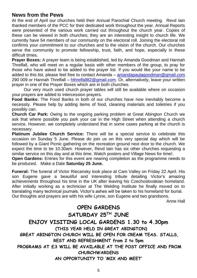## **News from the Pews**

At the end of April our churches held their Annual Parochial Church meeting. Revd Iain thanked members of the PCC for their dedicated work throughout the year. Annual Reports were presented of the various work carried out throughout the church year. Copies of these can be viewed in both churches; they are an interesting insight to church life. We currently have 54 members of our community on the electoral roll. Joining the electoral roll confirms your commitment to our churches and to the vision of the church. Our churches serve the community to promote fellowship, trust, faith, and hope, especially in these difficult times.

**Prayer Boxes:** A prayer team is being established, led by Amanda Goodman and Hannah Threlfall, who will meet on a regular basis with other members of the group, to pray for those who have asked to be added to the prayer list. If you would like your name to be added to this list, please feel free to contact Amanda – [amandapaulagoodman@gmail.com](mailto:amandapaulagoodman@gmail.comail) 290 009 or Hannah Threlfall – [hthrelfall82@gmail.com.](mailto:hthrelfall82@gmail.com) Or, alternatively, leave your written prayer in one of the Prayer Boxes which are in both churches.

Our very much used church prayer tables will still be available where on occasion your prayers are added to intercession prayers.

**Food Banks:** The Food Banks in both of our churches have now inevitably become a necessity. Please help by adding items of food, cleaning materials and toiletries if you possibly can.

**Church Car Park:** Owing to the ongoing parking problem at Great Abington Church we ask that where possible you park your car in the High Street when attending a church service. However, we completely understand that in some cases parking at the church is necessary.

**Platinum Jubilee Church Service:** There will be a special service to celebrate this occasion on Sunday 5 June. Please do join us on this very special day which will be followed by a Giant Picnic gathering on the recreation ground next door to the church. We expect the time to be 10.30am. However, Revd Iain has six other churches requesting a similar service on this day and at this time. Watch posters and Village News for time!.

**Open Gardens:** Entries for this event are nearing completion as the programme needs to be produced. Make a Date **Saturday 25 June.**

**Funeral:** The funeral of Victor Riecansky took place at Cam Valley on Friday 22 April. His son Eugene gave a beautiful and interesting tribute detailing Victor's amazing achievements throughout his time in the UK after leaving his Czechoslovakian homeland. After initially working as a technician at The Welding Institute he finally moved on to translating many technical journals. Victor's ashes will be taken to his homeland for burial. Our thoughts and prayers are with his wife Lynne, son Eugene and two grandsons.

Anne Hall

## **OPEN GARDENS SATURDAY 25TH JUNE ENJOY VISITING LOCAL GARDENS 1.30 to 4.30pm (THIS YEAR HELD IN GREAT ABINGTON) GREAT ABINGTON CHURCH WILL BE OPEN FOR CREAM TEAS. STALLS, REST AND REFRESHMENT from 2 to 5pm PROGRAMS AT £3 WILL BE AVAILABLE AT THE POST OFFICE AND FROM CHURCHWARDENS AN OPPORTUNITY TO 'MIX AND MEET'**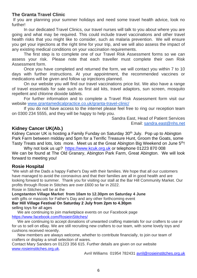## **The Granta Travel Clinic**

If you are planning your summer holidays and need some travel health advice, look no further!

In our dedicated Travel Clinics, our travel nurses will talk to you about where you are going and what may be required. This could include travel vaccinations and other travel health risks that you might like to consider, such as malaria prevention. We will ensure you get your injections at the right time for your trip, and we will also assess the impact of any existing medical conditions on your vaccination requirements.

The first step is to complete one of our Travel Risk Assessment forms so we can assess your risk. Please note that each traveller must complete their own Risk Assessment form.

Once you have completed and returned the form, we will contact you within 7 to 10 days with further instructions. At your appointment, the recommended vaccines or medications will be given and follow up injections planned.

On our website you will find our travel vaccinations price list. We also have a range of travel essentials for sale such as first aid kits, travel adaptors, sun screen, mosquito repellent and chlorine dioxide tablets.

For further information and to complete a Travel Risk Assessment form visit our website [www.grantamedicalpractice.co.uk/granta-travel-clinic/](http://www.grantamedicalpractice.co.uk/granta-travel-clinic/)

If you do not have access to the internet please feel free to ring our reception team on 0300 234 5555, and they will be happy to help you.

> Sandra East, Head of Patient Services Email: [sandra.east@nhs.net](mailto:sandra.east@nhs.net)

## **Kidney Cancer UK(Ab.)**

Kidney Cancer UK is hosting a Family Funday on Saturday 30<sup>th</sup> July. Pop up to Abington Park Farm between midday and 5pm for a Terrific Treasure Hunt, Groom the Goats, some Tasty Treats and lots, lots more. Meet us at the Great Abington Big Weekend on June 5<sup>th</sup>!

Why not look us up? [https://www.kcuk.org.uk](https://www.kcuk.org.uk/) or telephone 01223 870 008 We can be found at The Old Granary, Abington Park Farm, Great Abington. We will look forward to meeting you!

## **Rosie Hospital**

"We wish all the Dads a happy Father's Day with their families. We hope that all our customers have managed to avoid the coronavirus and that their families are all in good health and are looking forward to summer. Thank you for visiting our stall at the Bar Hill Community Market. Our profits through Rosie in Stitches are over £600 so far in 2022.

Rosie in Stitches will be at the

**Longstanton Village Market from 10am to 12.30pm on Saturday 4 June** with gifts or mascots for Father's Day and any other forthcoming event **Bar Hill Village Festival On Saturday 2 July from 2pm to 4.30pm** selling toys for all ages

 We are continuing to join marketplace events on our Facebook page <https://www.facebook.com/RosieinStitches/>

 We are continuing to accept donations of unwanted crafting materials for our crafters to use or for us to sell on eBay. We are still recruiting new crafters to our team, with some lovely toys and cushions received recently.

 New members are always welcome, whether to contribute financially, to join our team of crafters or display a small selection of wares.

Contact Mary Sanders on 01223 356 615. Further details are given on our website [www.rosieinstitches.org.uk.](http://www.rosieinstitches.org.uk/)

Avril Williams 01954 782431 [avril@rosieinstitches.org.uk](mailto:avril@rosieinstitches.org.uk)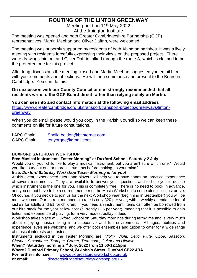## **ROUTING OF THE LINTON GREENWAY**

Meeting held on 11<sup>th</sup> May 2022 At the Abington Institute

The meeting was opened and both Greater Cambridgeshire Partnership (GCP) representatives, Martin Meehan and Oliver Daffrin, were welcomed.

The meeting was superbly supported by residents of both Abington parishes. It was a lively meeting with residents forcefully expressing their views on the proposed project. There were drawings laid out and Oliver Daffrin talked through the route A, which is claimed to be the preferred one for this project.

After long discussions the meeting closed and Martin Meehan suggested you email him with your comments and objections. He will then summarise and present to the Board in Cambridge. You can do this.

**On discussion with our County Councillor it is strongly recommended that all residents write to the GCP Board direct rather than relying solely on Martin.**

**You can see info and contact information at the following email address** [https://www.greatercambridge.org.uk/transport/transport-projects/greenways/linton](https://www.greatercambridge.org.uk/transport/transport-projects/greenways/linton-greenway)[greenway](https://www.greatercambridge.org.uk/transport/transport-projects/greenways/linton-greenway)

When you do email please would you copy in the Parish Council so we can keep these comments on file for future consultations.

LAPC Chair: [Sheila.bolden@btinternet.com](about:blank) GAPC Chair: [tonyorgee@gmail.com](about:blank)

## **DUXFORD SATURDAY WORKSHOP**

## **Free Musical Instrument "Taster Morning" at Duxford School, Saturday 2 July**

Would you or your child like to play a musical instrument, but you aren't sure which one? Would you like to try out one or more instruments before making up your mind?

## *If so, Duxford Saturday Workshop Taster Morning is for you!*

At this event, experienced tutors and players will help you to have hands-on, practical experience of several instruments. They are available to answer your questions and to help you to decide which instrument is the one for you. This is completely free. There is no need to book in advance, and you do not have to be a current member of the Music Workshop to come along - so just arrive. Of course, if you decide to join us for the next Workshop year (beginning in September) you will be most welcome. Our current membership rate is only £20 per year, with a weekly attendance fee of just £2 for adults and £1 for children. If you need an instrument, items can often be borrowed from our hire stock for the year at low cost (currently £25 per year), meaning that it is possible to gain tuition and experience of playing, for a very modest outlay indeed.

Workshop takes place at Duxford School on Saturday mornings during term-time and is very much about enjoying music-making in a supportive and fun environment. All ages, abilities and experience levels are welcome, and we offer both ensembles and tuition to cater for a wide range of musical interests and tastes.

Instruments included in the Taster Morning are: *Violin, Viola, Cello, Flute, Oboe, Bassoon, Clarinet, Saxophone, Trumpet, Cornet, Trombone, Guitar and Ukulele.*

**When? Saturday morning 2nd July, 2022 from 11.00-12.15pm Where? Duxford Primary School, St John's Street, Duxford CB22 4RA. For further info, see:** [www.duxfordsaturdayworkshop.org.uk](https://d.docs.live.net/769ae6b5f9281535/Abington/A%5e0H%20News/2022/www.duxfordsaturdayworkshop.org.uk) **or email:** [director@duxfordsaturdayworkshop.org.uk](about:blank)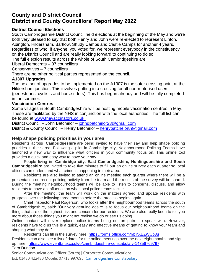## **County and District Council District and County Councillors' Report May 2022**

## **District Council Elections**

South Cambridgeshire District Council held elections at the beginning of the May and we're both very pleased to say that both Henry and John were re-elected to represent Linton, Abington, Hildersham, Bartlow, Shudy Camps and Castle Camps for another 4 years. Regardless of who, if anyone, you voted for, we represent everybody in the constituency on the District Council and are really looking forward to continuing to do so. The full election results across the whole of South Cambridgeshire are:

Liberal Democrats – 37 councillors

Conservatives – 7 councillors

There are no other political parties represented on the council.

#### **A1307 Upgrades**

The next set of upgrades to be implemented on the A1307 is the safer crossing point at the Hildersham junction. This involves putting in a crossing for all non-motorised users (pedestrians, cyclists and horse riders). This has begun already and will be fully completed in the summer.

#### **Vaccination Centres**

Some villages in South Cambridgeshire will be hosting mobile vaccination centres in May. These are facilitated by the NHS in conjunction with the local authorities. The full list can be found at [www.thevaccinators.co.uk.](https://d.docs.live.net/769ae6b5f9281535/Abington/A%5e0H%20News/2022/www.thevaccinators.co.uk)

District Council – John Batchelor – [johndbatchelor23@gmail.com](about:blank) District & County Council – Henry Batchelor – [henrybatchelor89@gmail.com](about:blank)

### **Help shape policing priorities in your area**

Residents across **Cambridgeshire** are being invited to have their say and help shape policing priorities in their area. Following a pilot in Cambridge city, Neighbourhood Policing Teams have launched a new way to influence what officers in your community focus on. This online tool provides a quick and easy way to have your say.

People living in **Cambridge city, East Cambridgeshire, Huntingdonshire and South Cambridgeshire** are invited to take five minutes to fill out an online survey each quarter so local officers can understand what crime is happening in their area.

Residents are also invited to attend an online meeting each quarter where there will be a presentation on recent policing activity from the team and the results of the survey will be shared. During the meeting neighbourhood teams will be able to listen to concerns, discuss, and allow residents to have an influence on what local police teams tackle.

After the meeting, the team will work on the matters agreed and update residents with progress over the following three months before the process begins again.

Chief Inspector Paul Rogerson, who looks after the neighbourhood teams across the south of Cambridgeshire, said: "Our very genuine desire is to focus our neighbourhood teams on the things that are of the highest risk and concern for our residents. We are also really keen to tell you more about those things you might not realise we do or see us doing.

Online contact will never replace police teams being out on patrol to speak with. However, residents have told us this is a quick, easy and effective means of getting to know your team and shaping what they do."

Residents can fill in the survey here: [https://forms.office.com/r/bYXEZWCb3u](https://gbr01.safelinks.protection.outlook.com/?url=https%3A%2F%2Fforms.office.com%2Fr%2FbYXEZWCb3u&data=05%7C01%7CTara.Dundon%40cambs.police.uk%7C933895bee7dd4e86cddc08da249e6cbb%7Ca3c59d1bb8f142999d6a39ad8f570422%7C0%7C0%7C637862560083770400%7CUnknown%7CTWFpbGZsb3d8eyJWIjoiMC4wLjAwMDAiLCJQIjoiV2luMzIiLCJBTiI6Ik1haWwiLCJXVCI6Mn0%3D%7C3000%7C%7C%7C&sdata=h4qUovLpN6W3fEdCtsvj%2BXJM%2Ft%2FyPCXPRXQ2W%2BfRw8E%3D&reserved=0)

Residents can also see a list of dates for the online meetings over the next eight months and sign up here: [https://www.eventbrite.co.uk/o/cambridgeshire-constabulary-14356769797](https://gbr01.safelinks.protection.outlook.com/?url=https%3A%2F%2Fwww.eventbrite.co.uk%2Fo%2Fcambridgeshire-constabulary-14356769797&data=05%7C01%7CTara.Dundon%40cambs.police.uk%7C933895bee7dd4e86cddc08da249e6cbb%7Ca3c59d1bb8f142999d6a39ad8f570422%7C0%7C0%7C637862560083770400%7CUnknown%7CTWFpbGZsb3d8eyJWIjoiMC4wLjAwMDAiLCJQIjoiV2luMzIiLCJBTiI6Ik1haWwiLCJXVCI6Mn0%3D%7C3000%7C%7C%7C&sdata=a7JdrRWwCV%2BkgBPAp7nLX%2F6k7FaOLlgGWRQ2CgqifdA%3D&reserved=0) Tara Dundon

Senior Communications Officer (South) | Corporate Communications Ext: 01480 422480 Mobile: 07713 997695 [Cambridgeshire Constabulary](https://www.cambs.police.uk/home)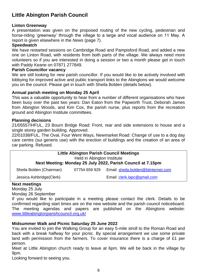## **Little Abington Parish Council**

## **Linton Greenway**

A presentation was given on the proposed routing of the new cycling, pedestrian and horse-riding 'greenway' through the village to a large and vocal audience on 11 May. A report is given elsewhere in the *News* (page 7).

#### **Speedwatch**

We have restarted sessions on Cambridge Road and Pampisford Road, and added a new one on Linton Road, with residents from both parts of the village. We always need more volunteers so if you are interested in doing a session or two a month please get in touch with Paddy Keane on 07871 277849.

#### **Parish Councillor vacancy**

We are still looking for new parish councillor. If you would like to be actively involved with lobbying for improved active and public transport links to the Abingtons we would welcome you on the council. Please get in touch with Sheila Bolden (details below).

## **Annual parish meeting on Monday 25 April**

This was a valuable opportunity to hear from a number of different organisations who have been busy over the past two years: Dan Eaton from the Papworth Trust, Deborah James from Abington Woods, and Kim Cox, the parish nurse, plus reports from the recreation ground and Abington Institute committees.

#### **Planning decisions**

21/05557/HFUL, 23 Bourn Bridge Road: Front, rear and side extensions to house and a single storey garden building. Approved.

22/01038/FUL, The Oval, Four Went Ways, Newmarket Road: Change of use to a dog day care centre (sui generis use) with the erection of buildings and the creation of an area of car parking. Refused.

| <b>Little Abington Parish Council Meetings</b><br>Held in Abington Institute |                             |                                                             |  |  |  |
|------------------------------------------------------------------------------|-----------------------------|-------------------------------------------------------------|--|--|--|
|                                                                              |                             | Next Meeting: Monday 25 July 2022, Parish Council at 7.15pm |  |  |  |
| Sheila Bolden (Chairman)                                                     | 07754 659 929               | Email: sheila.bolden@btinternet.com                         |  |  |  |
| Jessica Ashbridge(Clerk)                                                     | Email: clerk.lapc@gmail.com |                                                             |  |  |  |
| March managhin ara-                                                          |                             |                                                             |  |  |  |

#### **Next meetings**

Monday 25 July Monday 26 September

If you would like to participate in a meeting please contact the clerk. Details to be confirmed regarding start times are on the new website and the parish council noticeboard. The meeting agendas and papers are published on the Abingtons website: [www.littleabingtonparishcouncil.org.uk/](http://www.littleabingtonparishcouncil.org.uk/)

## **Midsummer Walk and Picnic Saturday 25 June 2022**

You are invited to join the Walking Group for an easy 5-mile stroll to the Roman Road and back with a break halfway for your picnic. By special arrangement we use some private land with permission from the farmers. To cover insurance there is a charge of £1 per person.

Meet at Little Abington church ready to leave at 6pm. We will be back in the village by 9pm.

Looking forward to seeing you.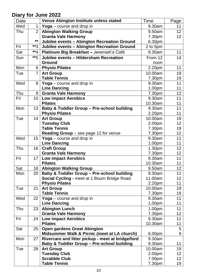## **Diary for June 2022**

| Date       |                | Venue Abington Institute unless stated                                                 | <b>Time</b>        | Page            |
|------------|----------------|----------------------------------------------------------------------------------------|--------------------|-----------------|
| Wed        | $\mathbf{1}$   | Yoga - course and drop in                                                              | 9.30am             | 11              |
| Thu        | $\overline{2}$ | <b>Abington Walking Group</b>                                                          | 9.50am             | 12 <sub>2</sub> |
|            |                | <b>Granta Vale Harmony</b>                                                             | 7.30pm             | 12 <sub>2</sub> |
|            | **             | Jubilee events - Abington Recreation Ground                                            | 6.30pm             |                 |
| Fri        | **3            | Jubilee events - Abington Recreation Ground                                            | 2 to 5pm           |                 |
| Sat        | $**_4$         | Platinum Big Breakfast - Jeremiah's Café                                               | 9.30am             | 11              |
| Sun        | $**$ 5         | Jubilee events - Hildersham Recreation                                                 | From 12            | 14              |
|            |                | <b>Ground</b>                                                                          | noon               |                 |
| Mon        | 6              | <b>Physio Pilates</b>                                                                  | 2.20pm             | 11              |
| Tue        | $\overline{7}$ | <b>Art Group</b>                                                                       | 10.00am            | 19              |
|            |                | <b>Table Tennis</b>                                                                    | 7.30pm             | 19              |
| Wed        | 8              | Yoga – course and drop in                                                              | 9.30am             | 11              |
|            |                | <b>Line Dancing</b>                                                                    | 1.00 <sub>pm</sub> | 11              |
| Thu        | 9              | <b>Granta Vale Harmony</b>                                                             | 7.30pm             | 12              |
| Fri        | 10             | <b>Low impact Aerobics</b>                                                             | 9.30am             | 11              |
|            |                | <b>Pilates</b>                                                                         | 10.30am            | 11              |
| Mon        | 13             | <b>Baby &amp; Toddler Group - Pre-school building</b>                                  | 9.30am             | 11              |
|            |                | <b>Physio Pilates</b>                                                                  | 2.20pm             | 11              |
| Tue        | 14             | <b>Art Group</b>                                                                       | 10.00am            | 19              |
|            |                | <b>Tuesday Club</b>                                                                    | 2.00pm             | 12              |
|            |                | <b>Table Tennis</b>                                                                    | 7.30pm             | 19              |
|            |                | Reading Group - see page 12 for venue                                                  | 7.30pm             | 12              |
| Wed        | 15             | Yoga - course and drop in                                                              | 9.30am             | 11              |
|            |                | <b>Line Dancing</b>                                                                    | 1.00pm             | 11              |
| Thu        | 16             | <b>Craft Group</b>                                                                     | 1.30pm             | 12              |
|            |                | <b>Granta Vale Harmony</b>                                                             | 7.30pm             | 12              |
| Fri        | 17             | <b>Low impact Aerobics</b>                                                             | 9.30am             | 11              |
| Sat        | 18             | <b>Pilates</b>                                                                         | 10.30am<br>9.50am  | 11<br>12        |
| Mon        | 20             | <b>Abington Walking Group</b><br><b>Baby &amp; Toddler Group - Pre-school building</b> | 9.30am             | 11              |
|            |                | Social Cycling - meet at 1 Bourn Bridge Road                                           | 11.00am            | 12              |
|            |                | <b>Physio Pilates</b>                                                                  | 2.20pm             | 11              |
| Tue        | 21             | <b>Art Group</b>                                                                       | 10.00am            | 19              |
|            |                | <b>Table Tennis</b>                                                                    | 7.30pm             | 19              |
| Wed        | 22             | Yoga $-$ course and drop in                                                            | 9.30am             | 11              |
|            |                | <b>Line Dancing</b>                                                                    | 1.00pm             | 11              |
| Thu        | 23             | <b>Abington Lunch</b>                                                                  | 1.00 <sub>pm</sub> | 11              |
|            |                | <b>Granta Vale Harmony</b>                                                             | 7.30pm             | 12              |
| Fri        | 24             | <b>Low impact Aerobics</b>                                                             | 9.30am             | 11              |
|            |                | <b>Pilates</b>                                                                         | 10.30am            | 11              |
| Sat        | 25             | <b>Open gardens Great Abington</b>                                                     |                    | 5               |
|            |                | Midsummer Walk & Picnic (meet at LA church)                                            | 6.00pm             | 9               |
| Mon        | 27             | Rivercare and litter pickup - meet at bridge/ford                                      | 9.30am             |                 |
|            |                | <b>Baby &amp; Toddler Group - Pre-school building</b>                                  | 9.30am             | 11              |
| <b>Tue</b> | 28             | <b>Art Group</b>                                                                       | 10.00am            | 19              |
|            |                | <b>Tuesday Club</b>                                                                    | 2.00pm             | 12              |
|            |                | <b>Scrabble Club</b>                                                                   | 7.00pm             | 12 <sub>2</sub> |
|            |                | <b>Table Tennis</b>                                                                    | 7.30pm             | 19              |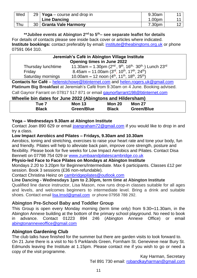| Wed | 29   Yoga – course and drop in | 9.30am             |  |
|-----|--------------------------------|--------------------|--|
|     | <b>Line Dancing</b>            | 1.00 <sub>pm</sub> |  |
| Thu | 30   Granta Vale Harmony       | 7.30pm             |  |

**\*\*Jubilee events at Abington 2nd to 5th– see separate leaflet for details** For details of contacts please see inside back cover or articles where indicated. **Institute bookings:** contact preferably by email: **[institute@theabingtons.org.uk](mailto:institute@theabingtons.org.uk)** or phone 07591 064 310.

| Jeremiah's Café in Abington Village Institute                                        |                                                                                   |  |  |
|--------------------------------------------------------------------------------------|-----------------------------------------------------------------------------------|--|--|
|                                                                                      | <b>Opening times in June 2022</b>                                                 |  |  |
| Thursday lunchtime                                                                   | 11.30am - 1.30pm $(2^{nd}, 9^{th}, 16^{th}, 30^{th})$ Lunch $23^{rd}$             |  |  |
| Friday                                                                               | 8.45am – 11.00am (3rd, 10 <sup>th</sup> , 17 <sup>th</sup> , 24 <sup>th</sup> )   |  |  |
| 10.00am - 12 noon $(4th, 11th, 18th, 25th)$<br>Saturday mornings                     |                                                                                   |  |  |
| <b>Contacts for Café</b> – helenstchowe@btinternet.com and helen.rogers.uk@gmail.com |                                                                                   |  |  |
|                                                                                      | Platinum Big Breakfast at Jeremiah's Café from 9.30am on 4 June. Booking advised. |  |  |

Call Gaynor Farrant on 07817 517 871 or email [gaynorfarrant198@btinternet.com](mailto:gaynorfarrant198@btinternet.com)

#### **Wheelie bin dates for June 2022 (Abingtons and Hildersham)**

| Гue 7        | <b>Mon 13</b>     | <b>Mon 20</b> | <b>Mon 27</b> |  |
|--------------|-------------------|---------------|---------------|--|
| <b>Black</b> | <b>Green/Blue</b> | <b>Black</b>  | Green/Blue    |  |

## **Yoga – Wednesdays 9.30am at Abington Institute**

Contact Joan 890 629 or email [joangraham72@gmail.com](mailto:joangraham72@gmail.com) if you would like to drop in and try a class.

### **Low Impact Aerobics and Pilates – Fridays, 9.30am and 10.30am**

Aerobics, toning and stretching, exercises to raise your heart rate and tone your body, fun and friendly. Pilates will help to alleviate back pain, improve core strength, posture and flexibility. Please book for five weeks for Low Impact Aerobics and Pilates. Contact Disa Bennett on 07798 754 029 or [www.zumbaandpilatescambridge.co.uk](http://www.zumbaandpilatescambridge.co.uk/)

### **Physio-led Face to Face Pilates on Mondays at Abington Institute**

Mondays 2.20 to 3.20pm for Beginners/Intermediate. Max 6 participants. Classes £12 per session. Book 3 sessions (£36 non-refundable).

Contact Christina Heinz on [cambridgepilates@outlook.com](mailto:cambridgepilates@outlook.com)

## **Line Dancing - Wednesdays 1pm to 2.30pm, term time at Abington Institute**

Qualified line dance instructor, Lisa Mason, now runs drop-in classes suitable for all ages and levels, and welcomes beginners to intermediate level. Bring a drink and suitable shoes. Contact email [lisa.lmsd@gmail.com](mailto:lisa.lmsd@gmail.com) or phone 07958 788 292.

## **Abington Pre-School Baby and Toddler Group**

This Group is open every Monday morning (term time only) from 9.30**–**11.30am, in the Abington Annexe building at the bottom of the primary school playground. No need to book in advance. Contact 01223 894 246 (Abington Annexe Office) or email [abingtonannexeoffice@gmail.com](mailto:abingtonannexeoffice@gmail.com)

## **Abington Gardening Club**

The club talks have finished for the summer but there are garden visits to look forward to. On 21 June there is a visit to No 5 Parklands Green, Fornham St. Genevieve near Bury St. Edmunds leaving the Institute at 1.15pm. Please contact me if you wish to go or need a copy of the visit programme.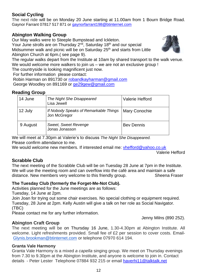## **Social Cycling**

The next ride will be on Monday 20 June starting at 11.00am from 1 Bourn Bridge Road. Gaynor Farrant 07817 517 871 or [gaynorfarrant198@btinternet.com](mailto:gaynorfarrant198@btinternet.com)

## **Abington Walking Group**

Our May walks were to Steeple Bumpstead and Ickleton.

Your June strolls are on Thursday 2<sup>nd</sup>, Saturday 18<sup>th</sup> and our special Midsummer walk and picnic will be on Saturday 25<sup>th</sup> and starts from Little Abington Church at 6pm.( see page 9).



The regular walks depart from the Institute at 10am by shared transport to the walk venue. We would welcome more walkers to join us – we are not an exclusive group !

The countryside is looking magnificent just now.

For further information please contact:

Robin Harman on 891730 or [robandkayharman@gmail.com](about:blank) George Woodley on 891169 or [ge29gew@gmail.com](mailto:ge29gew@gmail.com)

## **Reading Group**

| 14 June  | The Night She Disappeared<br>Lisa Jewell              | <b>Valerie Hefford</b> |
|----------|-------------------------------------------------------|------------------------|
| 12 July  | If Nobody Speaks of Remarkable Things<br>Jon McGregor | <b>Mary Conochie</b>   |
| 9 August | <b>Sweet, Sweet Revenge</b><br>Jonas Jonasson         | <b>Bev Dennis</b>      |

We will meet at 7.30pm at Valerie's to discuss *The Night She Disappeared.* Please confirm attendance to me.

We would welcome new members. If interested email me: [vhefford@yahoo.co.uk](mailto:vhefford@yahoo.co.uk)

Valerie Hefford

## **Scrabble Club**

The next meeting of the Scrabble Club will be on Tuesday 28 June at 7pm in the Institute. We will use the meeting room and can overflow into the café area and maintain a safe distance. New members very welcome to this friendly group. Sheena Fraser

## **The Tuesday Club (formerly the Forget-Me-Not Club).**

Activities planned for the June meetings are as follows:

Tuesday, 14 June at 2pm.

Join Joan for trying out some chair exercises. No special clothing or equipment required. Tuesday, 28 June at 2pm. Kelly Austin will give a talk on her role as Social Navigator. (TBC)

Please contact me for any further information.

Jenny Milns (890 252).

## **Abington Craft Group**

The next meeting will be on Thursday 16 June, 1.30-4.30pm at Abington Institute. All welcome. Light refreshments provided. Small fee of £2 per session to cover costs. Email-[Glynis.brookman@btinternet.com](mailto:Glynis.brookman@btinternet.com) or telephone 07970 614 194.

## **Granta Vale Harmony**

Granta Vale Harmony is a mixed *a capella* singing group. We meet on Thursday evenings from 7.30 to 9.30pm at the Abington Institute, and anyone is welcome to join in. Contact details - Peter Lester Telephone 07884 932 215 or email [haverhi11@talktalk.net](mailto:haverhi11@talktalk.net)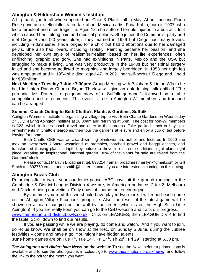## **Abington & Hildersham Women's Institute**

A big thank you to all who supported our Cake & Plant stall in May. At our meeting Fiona Rose gave an excellent illustrated talk about Mexican artist Frida Kahlo, born in 1907, who led a turbulent and often tragic life. Aged 18, she suffered terrible injuries in a bus accident which caused her lifelong pain and medical problems. She joined the Communist party and met Diego Rivera (20 years older). They married in 1929 but Diego had many lovers, including Frida's sister. Frida longed for a child but had 2 abortions due to her damaged pelvis. She also had lovers, including Trotsky. Painting became her passion, and she developed her own style of realism/surrealism based on her life experiences, often unflinching, graphic and gory. She had exhibitions in Paris, Mexico and the USA but struggled to make a living. She was very productive in the 1940s but her spinal surgery failed and she became addicted to morphine and largely bedridden. In 1953 her right leg was amputated and in 1954 she died, aged 47. In 2021 her self-portrait 'Diego and I' sold for \$35million.

**Next Meeting: Tuesday 7 June 7.30pm:** Group Meeting with Balsham & Linton WIs to be held in Linton Parish Church. Bryan Thurlow will give an entertaining talk entitled "The perennial Mr. Potter – a poignant story of a Suffolk gardener", followed by a table competition and refreshments. This event is free to Abington WI members and transport can be arranged.

#### **Summer Coach Outing to Beth Chatto's Plants & Gardens, Suffolk**

Abington Women's Institute is organising a village trip to visit Beth Chatto Gardens on Wednesday 27 July, leaving Abington Institute at 10.30am and returning at 5pm. The cost for non-WI members is £22, which includes coach travel and entry to the gardens. Take packed lunch or buy light refreshments in Chatto's tearooms, then tour the gardens at leisure and enjoy a cup of tea before leaving for home.

Beth Chatto OBE was an award-winning plantswoman, author and lecturer. In 1960 she took an overgrown 7.5acre wasteland of brambles, parched gravel and boggy ditches, and transformed it using plants adapted by nature to thrive in different conditions: right plant, right place, creating an inspirational, informal garden. 80% of the plants for sale are raised from the Gardens' stock.

Please contact Marilyn Broadhurst tel. 893214 / email [broadhurstmarilyn@gmail.com](mailto:broadhurstmarilyn@gmail.com) or Gill Smith tel. 892759 email [randg.smith@btinternet.com](mailto:randg.smith@btinternet.com) if you are interested in coming on this outing.

## **Abington Bowls Club**

Returning after a two - year pandemic pause, ABC have hit the ground running. In the Cambridge & District League Division 4 we are, in American parlance, 2 for 2, Melbourn and Duxford being our victims. Early days, of course, but encouraging.

By the time you read this we should have played two more. I will report each game on the Abington Village Facebook group site. Also, the result of the latest game will be shown on a board hanging on the wall by the green (which is on the High St in Little Abington). If you are really keen you can go to the C&D website and track our progress. [www.cambridge-and-districtbowls.co.uk.](http://www.cambridge-and-districtbowls.co.uk/) Click on LEAGUES, then LEAGUE DIV 4 to find

the table. Scroll down to find our results.

If you are passing while we are playing, do come and watch. And if you want to join, do let us know. We shall be on show at the Rec. on Sunday 5 June, during the Jubilee festivities – come and have a go. You might have hidden talents.

**June** home games are on Tue  $7<sup>th</sup>$ , Tue 14<sup>th</sup>, Fri 17<sup>th</sup>, Th 28<sup>th</sup>, Fri 29<sup>th</sup> starting at 6.30 pm.

*The Abingtons and Hildersham News* **on the website** To see the *News* before a printed copy is available and to see the photographs in colour, go to [www.theabingtons.org.uk/news](http://www.theabingtons.org.uk/news) and follow the link to the pdf for the month you want.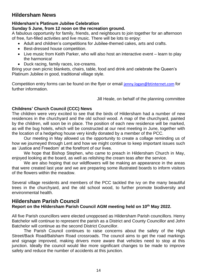## **Hildersham News**

## **Hildersham's Platinum Jubilee Celebration**

## **Sunday 5 June, from 12 noon on the recreation ground.**

A fabulous opportunity for family, friends, and neighbours to join together for an afternoon of free, fun-filled activities and live music. There will be lots to enjoy:

- Adult and children's competitions for Jubilee-themed cakes, arts and crafts.
- Best-dressed house competition.
- Live music from Keith Parker, who will also host an interactive event learn to play the harmonica!
- Duck racing, family races, ice-creams.

Bring your own picnic blankets, chairs, table, food and drink and celebrate the Queen's Platinum Jubilee in good, traditional village style.

Competition entry forms can be found on the flyer or email [jenny.logan@btinternet.com](mailto:jenny.logan@btinternet.com) for further information.

Jill Heale, on behalf of the planning committee

## **Childrens' Church Council (CCC) News**

The children were very excited to see that the birds of Hildersham had a number of new residences in the churchyard and the old school wood. A map of the churchyard, painted by the children, will soon be in place. The position of each new residence will be marked, as will the bug hotels, which will be constructed at our next meeting in June, together with the location of a hedgehog house very kindly donated by a member of the PCC.

Our meeting in May allowed us the opportunity to create a collage reminding us of how we journeyed through Lent and how we might continue to keep important issues such as 'Justice and Freedom' at the forefront of our lives.

We hope that Bishop Stephen, who came to preach in Hildersham Church in May, enjoyed looking at the board, as well as relishing the cream teas after the service.

We are also hoping that our wildflowers will be making an appearance in the areas that were created last year and we are preparing some illustrated boards to inform visitors of the flowers within the meadow.

Several village residents and members of the PCC tackled the ivy on the many beautiful trees in the churchyard, and the old school wood, to further promote biodiversity and environmental health.

## **Hildersham Parish Council Report on the Hildersham Parish Council AGM meeting held on 10th May 2022.**

All five Parish councillors were elected unopposed as Hildersham Parish councillors. Henry Batchelor will continue to represent the parish as a District and County Councillor and John Batchelor will continue as the second District Councillor.

The Parish Council continues to raise concerns about the safety of the High Street/Back Road/Balsham Road crossroads. The council aims to get the road markings and signage improved, making drivers more aware that vehicles need to stop at this junction. Ideally the council would like more significant changes to be made to improve safety and reduce the number of accidents at this junction.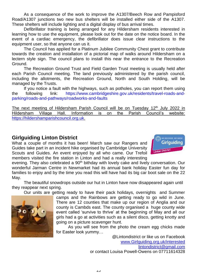As a consequence of the work to improve the A1307/Beech Row and Pampisford Road/A1307 junctions two new bus shelters will be installed either side of the A1307. These shelters will include lighting and a digital display of bus arrival times.

Defibrillator training is being arranged for any Hildersham residents interested in learning how to use the equipment, please look out for the date on the notice board. In the event of a cardiac emergency, the defibrillator does issue clear instructions to the equipment user, so that anyone can us it.

The Council has applied for a Platinum Jubilee Community Chest grant to contribute towards the creation and installation of a pictorial map of walks around Hildersham on a lectern style sign. The council plans to install this near the entrance to the Recreation Ground.

The Recreation Ground Trust and Field Garden Trust meeting is usually held after each Parish Council meeting. The land previously administered by the parish council, including the allotments, the Recreation Ground, North and South Holding, will be managed by the Trusts.

If you notice a fault with the highways, such as potholes, you can report them using the following link: [https://www.cambridgeshire.gov.uk/residents/travel-roads-and](https://www.cambridgeshire.gov.uk/residents/travel-roads-and-parking/roads-and-pathways/roadworks-and-faults)[parking/roads-and-pathways/roadworks-and-faults](https://www.cambridgeshire.gov.uk/residents/travel-roads-and-parking/roads-and-pathways/roadworks-and-faults)

The next meeting of Hildersham Parish Council will be on Tuesday 12<sup>th</sup> July 2022 in Hildersham Village Hall. Information is on the Parish Council's website: [https://hildershamparishcouncil.org.uk.](https://hildershamparishcouncil.org.uk/)

## **Girlguiding Linton District**

What a couple of months it has been! March saw our Rangers and Guides take part in an incident hike organised by Cambridge University Scouts and Guides. An event enjoyed by all who came. Our Trefoil members visited the fire station in Linton and had a really interesting



evening. They also celebrated a 90<sup>th</sup> bithday with lovely cake and lively conversation. Our wonderful Jarman Centre in Newmarket had its annual bank holiday Easter fun day for families to enjoy and by the time you read this will have had its big car boot sale on the 22 May.

The beautiful snowdrops outside our hut in Linton have now disappeared again until they reappear next spring.

Our units are getting ready to have their pack holidays, overnights and Summer



As you will see from the photo the cream egg chicks made for Easter look yummy…

> @Lintondistrict or like us on Facebook [www.Girlguiding.org.uk/interested](http://www.girlguiding.org.uk/interested) [lintondistrict@gmail.com](mailto:lintondistrict@gmail.com) or contact Louisa Powell-Owens on 07711614328

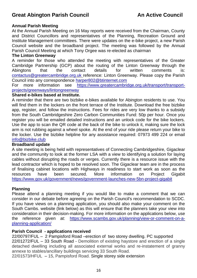## **Annual Parish Meeting**

At the Annual Parish Meeting on 16 May reports were received from the Chairman, County and District Councillors and representatives of the Planning, Recreation Ground and Institute Management committees. There were updates on the e-bike project, a new Parish Council website and the broadband project. The meeting was followed by the Annual Parish Council Meeting at which Tony Orgee was re-elected as chairman

#### **The Linton Greenway**

A reminder for those who attended the meeting with representatives of the Greater Cambridge Partnership (GCP) about the routing of the Linton Greenway through the Abingtons that the contact details for written comments is: [contactus@greatercambridge.org.uk](mailto:contactus@greatercambridge.org.uk) reference: Linton Greenway. Please copy the Parish Council into any correspondence [harper802@btinternet.com](mailto:harper802@btinternet.com)

For more information see [https://www.greatercambridge.org.uk/transport/transport](https://www.greatercambridge.org.uk/transport/transport-projects/greenways/lintongreenway)[projects/greenways/lintongreenway](https://www.greatercambridge.org.uk/transport/transport-projects/greenways/lintongreenway)

#### **Shared e-bikes based at Institute.**

A reminder that there are two bizbike e-bikes available for Abington residents to use. You will find them in the lockers on the front terrace of the Institute. Download the free bizbike app, register, and follow the instructions. Fees for rides are very low thanks to a subsidy from the South Cambridgeshire Zero Carbon Communities Fund: 50p per hour. Once you register you will be emailed detailed instructions and an unlock code for the bike lockers. Use the app to scan the QR code at the back of the bike to unlock it, making sure the lock arm is not rubbing against a wheel spoke. At the end of your ride please return your bike to the locker. Use the bizbike helpline for any assistance required: 07973 499 224 or email [info@bizbike.club](mailto:info@bizbike.club)

#### **Broadband update**

A site meeting is being held with representatives of Connecting Cambridgeshire, Gigaclear and the community to look at the former LSA with a view to identifying a solution for laying cables without disrupting the roads or verges. Currently there is a resource issue with the lead contractor which is hoped to be resolved soon. The Gigaclear team are in the process of finalising cabinet locations with Highways in readiness to start work as soon as the resources have been secured. More information on Project Gigabit <https://www.gov.uk/government/news/government-launches-new-5bn-project-gigabit>

## **Planning**

Please attend a planning meeting if you would like to make a comment that we can consider in our debate before agreeing on the Parish Council's recommendation to SCDC. If you have views on a planning application, you should also make your comment on the South Cambs. website (link below) as this will ensure that the planners take your view into consideration in their decision-making. For more information on the applications below, use the reference given at: [https://www.scambs.gov.uk/planning/view-or-comment-on-a](https://www.scambs.gov.uk/planning/view-or-comment-on-a-planning-application/)[planning-application/](https://www.scambs.gov.uk/planning/view-or-comment-on-a-planning-application/)

## **Parish Council - applications received**

22/00797/FUL – 2 Pampisford Road –erection of two storey dwelling. PC supported 22/01272/FUL – 33 South Road - Demolition of existing haystore and erection of a single detached dwelling including all associated external works and re-instatement of granny annexe to stables/ancillary buildings servicing 33 South Road.

22/01573/HFUL – 15, Pampisford Road. Single storey side extension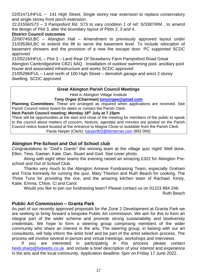22/01471/HFUL – 141 High Street. Single storey rear extension to replace conservatory and single storey front porch extension.

22,01556/S73 – 3 Pampisford Rd. S73 to vary condition 1 of ref: S/3387/RM , to amend the design of Plot 3, alter the boundary layout of Plots 2, 3 and 4.

#### **District Council outcomes**

22/00745/LBC – Abington Hall – Amendment to previously approved layout under 21/03536/LBC to extend the lift to serve the basement level. To include relocation of basement showers and the provision of a new fire escape door. PC supported SCDC approved

21/05216/HFUL – Plot 3 – Land Rear Of Strawberry Farm Pampisford Road Great

Abington Cambridgeshire CB21 6AQ . Installation of outdoor swimming pool, ancillary pool house and associated infrastructure and works SCDC approved

21/05296/FUL – Land north of 100 High Street – demolish garage and erect 2 storey dwelling. SCDC approved

## **Great Abington Parish Council Meetings**

Held in Abington Village Institute

**Tony Orgee (Chairman) [tonyorgee@gmail.com](mailto:tonyorgee@gmail.com)**

**Planning Committees:** These are arranged as required when applications are received. See Parish Council notice board for dates or contact the Parish Clerk.

**Next Parish Council meeting: Monday 18th July at 7.15pm** 

There will be opportunities at the start and close of the meeting for members of the public to speak to the council about matters of concern. Notices, agendas and minutes are posted on the Parish Council notice board located at the entrance to Magna Close or available from the Parish Clerk. Paula Harper (Clerk): [harper802@btinternet.com](mailto:harper802@btinternet.com) (892 000)

## **Abington Pre-School and Out of School club**

Congratulations to "Gwil's Giants" the winning team at the village quiz night! Well done, Ellen, Tess, Gaetan, Kate, Dan, Stuart and Gwil. See cover photo.

Along with eight other teams the evening raised an amazing £322 for Abington Preschool and Out of School Club.

Thanks very much to the Abington Annexe Fundraising Team, especially Graham and Tricia Kennedy for running the quiz, Mary Thexton and Ruth Beach for cooking, The Three Tuns for providing the rice, and the amazing kitchen team of Rachael, Kirsty, Katie, Emma, Chloe, Ci and Carol.

Would you like to join our fundraising team? Please contact us on 01223 894 246.

Ruth Beach

## **Public Art Commission – Granta Park**

As part of our recently approved proposals for the Zone 2 Development at Granta Park we are seeking to bring forward a bespoke Public Art commission. We aim for this to form an integral part of the wider scheme and promote strong sustainability and biodiversity credentials. We hope to form a steering group comprising members of the wider community who share an interest in the arts. The steering group, in liaising with our art consultants, will help inform the artist brief and be part of the artist selection process. The process will involve several in-person and virtual meetings, workshops and interviews.

 If you are interested in participating in this process please contact [heidi.sharp@bidwells.co.uk](mailto:heidi.sharp@bidwells.co.uk) and include a brief description of your interest and experience in the arts and the local community. Application deadline: 5pm on Friday 17 June 2022.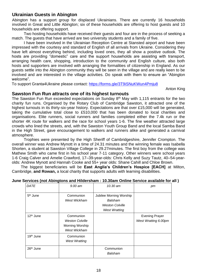## **Ukrainian Guests in Abington**

Abington has a support group for displaced Ukrainians. There are currently 16 households involved in Great and Little Abington; six of these households are offering to host guests and 10 households are offering support.

Two hosting households have received their guests and four are in the process of seeking a match. The guests that have arrived are two university students and a family of five.

I have been involved in the Ukrainian Reception Centre at Stansted airport and have been impressed with the courtesy and standard of English of all arrivals from Ukraine. Considering they have left almost everything behind, including loved ones, they all show a positive outlook. The hosts are providing "domestic" care and the support households are assisting with transport, arranging health care, shopping, introduction to the community and English culture, also both hosts and supporters are involved with arranging the formalities of citizenship in England. As our guests settle into the Abington community they will be seen in the village and are really keen to be involved and are interested in the village activities. Do speak with them to ensure an "Abington welcome".

To support Granta4Ukraine please contact: <https://forms.gle/3T9iSNuKWun4Pmju8>

Anton King

#### **Sawston Fun Run attracts one of its highest turnouts**

The Sawston Fun Run exceeded expectations on Sunday  $8<sup>th</sup>$  May with 1,115 entrants for the two charity fun runs. Organised by the Rotary Club of Cambridge Sawston, it attracted one of the highest turnouts in its thirty-six-year history. Expectations are that over £15,000 will be generated, taking the cumulative total close to £510,000 that has been donated to local charities and organisations. Elite runners, social runners and families completed either the 7.4k run or the shorter 4K route for walkers and the race for school years 1-6. The fine weather attracted large crowds who lined the streets, and, with the Sawston Youth Group Band and the local Samba Band in the High Street, gave encouragement to walkers and runners alike and generated a carnival atmosphere.

Trophies were presented by the High Sheriff of Cambridgeshire, Jennifer Crompton. The overall winner was Andrew Mynott in a time of 24.31 minutes and the winning female was Isabella Shorten, a student at Sawston Village College in 29.27minutes. The first boy from the college was Mathew Smith who came first in his school year 7-11 category. Other winners were school years 1-6 Craig Calver and Amelie Crawford, 17–39-year-olds: Chris Kelly and Suzy Tautz, 40–54-yearolds: Andrew Mynott and Hannah Cooke and 55+ year olds: Shane Cahill and Chloe Brown.

The biggest beneficiaries will be **East Anglia's Children's Hospice [EACH]** at Milton, Cambridge, **and Rowan,** a local charity that supports adults with learning disabilities.

#### **June Services (not Abingtons and Hildersham : 10.30am Online Service available for all )**

| DATE                  | 9.00 am                                                                | 10.30 am                                                                             | рm                                            |
|-----------------------|------------------------------------------------------------------------|--------------------------------------------------------------------------------------|-----------------------------------------------|
| 5 <sup>th</sup> June  | Communion<br>West Wickham                                              | Jubilee Morning Worship<br>Balsham<br><b>Weston Colville</b><br><b>West Wratting</b> |                                               |
| 12 <sup>th</sup> June | Communion<br><b>Weston Colville</b><br>Morning Worship<br>West Wickham |                                                                                      | <b>Evening Prayer</b><br>West Wratting 6.00pm |
| 19 <sup>th</sup> June | Communion<br><b>West Wratting</b>                                      |                                                                                      |                                               |
| 26 <sup>th</sup> June |                                                                        | Communion<br>Balsham                                                                 |                                               |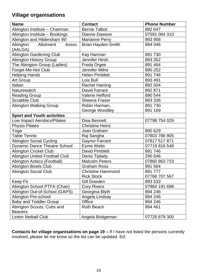## **Village organisations**

| <b>Name</b>                          | <b>Contact</b>            | <b>Phone Number</b> |
|--------------------------------------|---------------------------|---------------------|
| Abington Institute - Chairman        | <b>Bernie Talbot</b>      | 892 647             |
| Abington Institute - Bookings        | <b>Dianne Dawson</b>      | 07591 064 310       |
| Abington and Hildersham WI           | <b>Marianne Perry</b>     | 893 956             |
| Allotment<br>Abington<br>Assoc.      | <b>Brian Hayden-Smith</b> | 894 046             |
| (AALGA)                              |                           |                     |
| <b>Abington Gardening Club</b>       | Kay Harman                | 891 730             |
| <b>Abington History Group</b>        | <b>Jennifer Hirsh</b>     | 893 352             |
| The Abington Group (Ladies)          | Freda Orgee               | 891 464             |
| Forget-Me-Not Club                   | <b>Jennifer Milns</b>     | 890 252             |
| <b>Helping Hands</b>                 | <b>Helen Pimblett</b>     | 891 746             |
| Art Group                            | Lois Bull                 | 893 491             |
| Italian                              | <b>Rachel Haining</b>     | 892 004             |
| Naturewatch                          | <b>David Farrant</b>      | 892 871             |
| <b>Reading Group</b>                 | <b>Valerie Hefford</b>    | 890 544             |
| <b>Scrabble Club</b>                 | <b>Sheena Fraser</b>      | 893 336             |
| <b>Abington Walking Group</b>        | Robin Harman,             | 891 730             |
|                                      | George Woodley            | 891 169             |
| <b>Sport and Youth activities</b>    |                           |                     |
| Low Impact Aerobics/Pilates          | <b>Disa Bennett</b>       | 07798 754 029       |
| <b>Physio Pilates</b>                | <b>Christina Heinz</b>    |                     |
| Yoga                                 | Joan Graham               | 890 629             |
| <b>Table Tennis</b>                  | Raj Sangha                | 07803 786 905       |
| <b>Abington Social Cycling</b>       | <b>Gaynor Farrant</b>     | 07817 517 871       |
| <b>Dynamic Dance Theatre School</b>  | <b>Esme Watts</b>         | 07719 816 548       |
| <b>Abington Cricket Club</b>         | <b>David Pimblett</b>     | 891 746             |
| <b>Abington United Football Club</b> | Denis Tiplady             | 290 646             |
| Abington Aztecs (Football)           | <b>Malcolm Peters</b>     | 07860 863 723       |
| <b>Abington Bowls Club</b>           | <b>Graham Ross</b>        | 891 564             |
| <b>Abington Social Club</b>          | <b>Christine Hammond</b>  | 891 777             |
|                                      | <b>Rick Stock</b>         | 07768 707 567       |
| Keep Fit                             | Gill Dowden               | 893 533             |
| Abington School PTFA (Chair)         | <b>Cory Rivers</b>        | 07964 191 698       |
| Abington Out-of-School (GAPS)        | Georgina Blyth            | 894 246             |
| Abington Pre-school                  | Angela Lindsay            | 894 246             |
| <b>Baby and Toddler Group</b>        | <b>Office</b>             | 894 246             |
| Abington Scouts, Cubs and            | <b>Ruth Beach</b>         | 894 461             |
| <b>Beavers</b>                       |                           |                     |
| <b>Linton Netball Club</b>           | Angela Bridgeman          | 07729 879 300       |

**Contacts for village organisations on page 19 –** If I have not listed the persons currently involved, please let me know so the list can be updated. Ed.